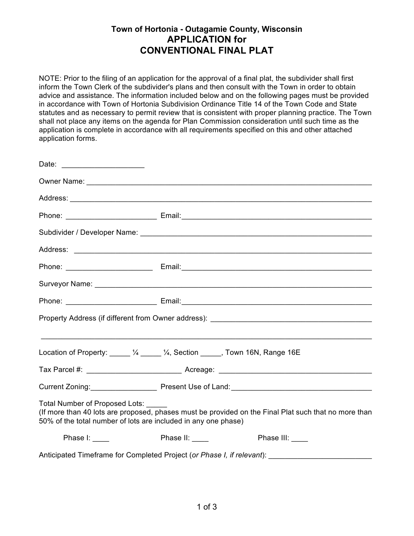## **Town of Hortonia - Outagamie County, Wisconsin APPLICATION for CONVENTIONAL FINAL PLAT**

NOTE: Prior to the filing of an application for the approval of a final plat, the subdivider shall first inform the Town Clerk of the subdivider's plans and then consult with the Town in order to obtain advice and assistance. The information included below and on the following pages must be provided in accordance with Town of Hortonia Subdivision Ordinance Title 14 of the Town Code and State statutes and as necessary to permit review that is consistent with proper planning practice. The Town shall not place any items on the agenda for Plan Commission consideration until such time as the application is complete in accordance with all requirements specified on this and other attached application forms.

|                                                                                                        |                | Surveyor Name: Note of the Commission of the Commission of the Commission of the Commission of the Commission |
|--------------------------------------------------------------------------------------------------------|----------------|---------------------------------------------------------------------------------------------------------------|
|                                                                                                        |                |                                                                                                               |
|                                                                                                        |                |                                                                                                               |
|                                                                                                        |                |                                                                                                               |
| Location of Property: _____ 1/4 _____ 1/4, Section _____, Town 16N, Range 16E                          |                |                                                                                                               |
|                                                                                                        |                |                                                                                                               |
|                                                                                                        |                | Current Zoning: Present Use of Land: Current Zoning:                                                          |
| Total Number of Proposed Lots: _____<br>50% of the total number of lots are included in any one phase) |                | (If more than 40 lots are proposed, phases must be provided on the Final Plat such that no more than          |
| Phase $\mathsf{I}$ : $\_\_\_\_\_\$                                                                     | Phase II: ____ | Phase III: ____                                                                                               |
| Anticipated Timeframe for Completed Project (or Phase I, if relevant): __________                      |                |                                                                                                               |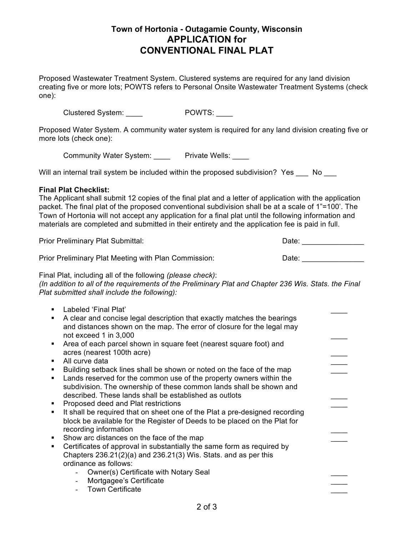## **Town of Hortonia - Outagamie County, Wisconsin APPLICATION for CONVENTIONAL FINAL PLAT**

Proposed Wastewater Treatment System. Clustered systems are required for any land division creating five or more lots; POWTS refers to Personal Onsite Wastewater Treatment Systems (check one):

Clustered System: \_\_\_\_ POWTS: \_\_\_

Proposed Water System. A community water system is required for any land division creating five or more lots (check one):

Community Water System: Private Wells: \_\_\_\_

Will an internal trail system be included within the proposed subdivision? Yes \_\_\_ No \_\_\_

## **Final Plat Checklist:**

The Applicant shall submit 12 copies of the final plat and a letter of application with the application packet. The final plat of the proposed conventional subdivision shall be at a scale of 1"=100'. The Town of Hortonia will not accept any application for a final plat until the following information and materials are completed and submitted in their entirety and the application fee is paid in full.

Prior Preliminary Plat Submittal:

| ate:)<br>، ب |  |
|--------------|--|
|--------------|--|

Final Plat, including all of the following *(please check)*:

Prior Preliminary Plat Meeting with Plan Commission:

*(In addition to all of the requirements of the Preliminary Plat and Chapter 236 Wis. Stats. the Final Plat submitted shall include the following):*

|   | Labeled 'Final Plat'                                                        |  |
|---|-----------------------------------------------------------------------------|--|
|   | A clear and concise legal description that exactly matches the bearings     |  |
|   | and distances shown on the map. The error of closure for the legal may      |  |
|   | not exceed 1 in 3,000                                                       |  |
|   | Area of each parcel shown in square feet (nearest square foot) and          |  |
|   | acres (nearest 100th acre)                                                  |  |
|   | All curve data                                                              |  |
|   | Building setback lines shall be shown or noted on the face of the map       |  |
|   | Lands reserved for the common use of the property owners within the         |  |
|   | subdivision. The ownership of these common lands shall be shown and         |  |
|   | described. These lands shall be established as outlots                      |  |
|   | Proposed deed and Plat restrictions                                         |  |
| ٠ | It shall be required that on sheet one of the Plat a pre-designed recording |  |
|   | block be available for the Register of Deeds to be placed on the Plat for   |  |
|   | recording information                                                       |  |
|   | Show arc distances on the face of the map                                   |  |
|   | Certificates of approval in substantially the same form as required by      |  |
|   | Chapters $236.21(2)(a)$ and $236.21(3)$ Wis. Stats. and as per this         |  |
|   | ordinance as follows:                                                       |  |
|   | Owner(s) Certificate with Notary Seal                                       |  |
|   | Mortgagee's Certificate                                                     |  |
|   | <b>Town Certificate</b>                                                     |  |